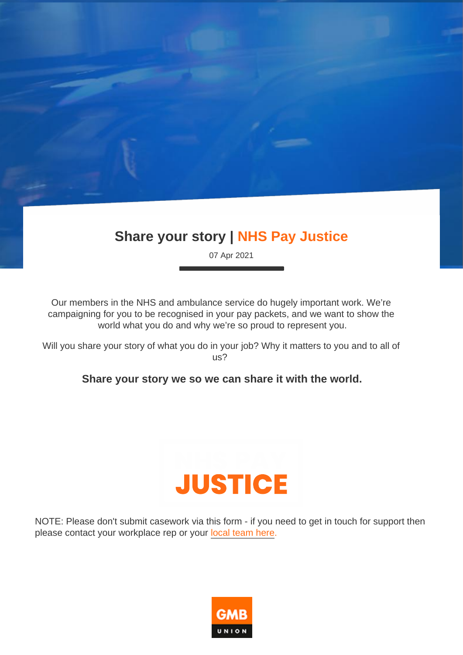# Share your story | NHS Pay Justice

07 Apr 2021

Our members in the NHS and ambulance service do hugely important work. We're campaigning for you to be recognised in your pay packets, and we want to show the world what you do and why we're so proud to represent you.

Will you share your story of what you do in your job? Why it matters to you and to all of us?

Share your story we so we can share it with the world.

NOTE: Please don't submit casework via this form - if you need to get in touch for support then please contact your workplace rep or your [local team here](https://www.gmb.org.uk/regions).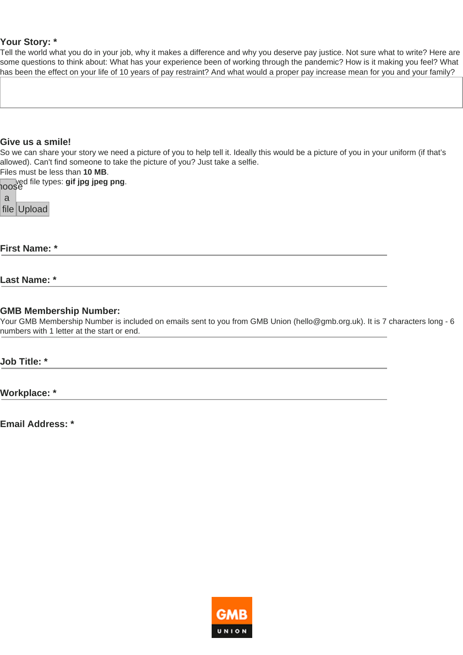### **Your Story: \***

Tell the world what you do in your job, why it makes a difference and why you deserve pay justice. Not sure what to write? Here are some questions to think about: What has your experience been of working through the pandemic? How is it making you feel? What has been the effect on your life of 10 years of pay restraint? And what would a proper pay increase mean for you and your family?

#### **Give us a smile!**

So we can share your story we need a picture of you to help tell it. Ideally this would be a picture of you in your uniform (if that's allowed). Can't find someone to take the picture of you? Just take a selfie.

Files must be less than **10 MB**.

**Allowed file types: gif jpg jpeg png.**<br>100\$e

| э |             |
|---|-------------|
|   | file Upload |

**First Name: \***

#### **Last Name: \***

#### **GMB Membership Number:**

Your GMB Membership Number is included on emails sent to you from GMB Union (hello@gmb.org.uk). It is 7 characters long - 6 numbers with 1 letter at the start or end.

**Job Title: \***

**Workplace: \***

**Email Address: \***